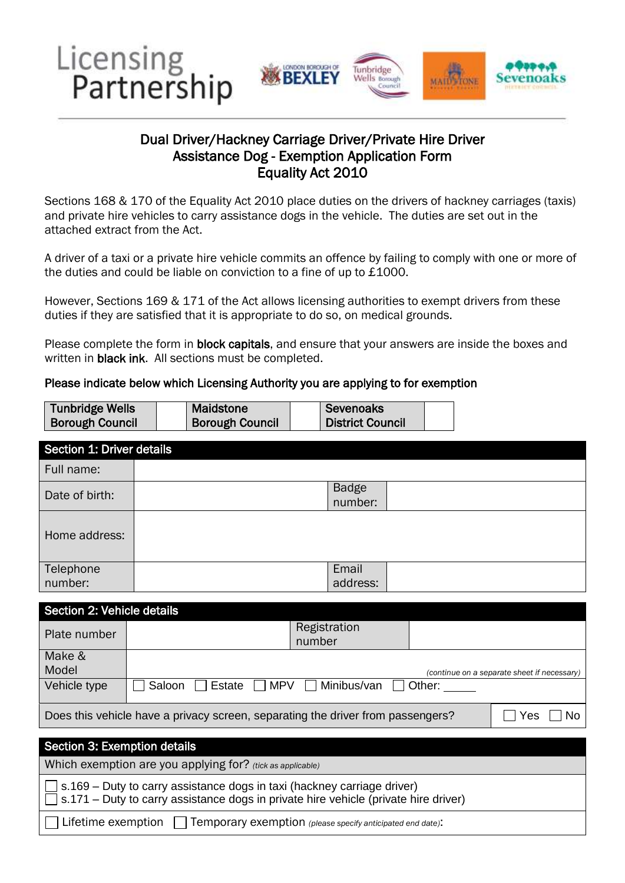

## Assistance Dog - Exemption Application Form Equality Act 2010 Dual Driver/Hackney Carriage Driver/Private Hire Driver

 Sections 168 & 170 of the Equality Act 2010 place duties on the drivers of hackney carriages (taxis) and private hire vehicles to carry assistance dogs in the vehicle. The duties are set out in the attached extract from the Act.

A driver of a taxi or a private hire vehicle commits an offence by failing to comply with one or more of the duties and could be liable on conviction to a fine of up to £1000.

duties if they are satisfied that it is appropriate to do so, on medical grounds. However, Sections 169 & 171 of the Act allows licensing authorities to exempt drivers from these

Please complete the form in block capitals, and ensure that your answers are inside the boxes and written in **black ink**. All sections must be completed.

#### Please indicate below which Licensing Authority you are applying to for exemption

| <b>Tunbridge Wells</b> | <b>Maidstone</b>       | Sevenoaks               |  |
|------------------------|------------------------|-------------------------|--|
| <b>Borough Council</b> | <b>Borough Council</b> | <b>District Council</b> |  |

| Section 1: Driver details                                                                                                                                      |                                                         |  |  |  |  |
|----------------------------------------------------------------------------------------------------------------------------------------------------------------|---------------------------------------------------------|--|--|--|--|
| Full name:                                                                                                                                                     |                                                         |  |  |  |  |
| Date of birth:                                                                                                                                                 | <b>Badge</b><br>number:                                 |  |  |  |  |
| Home address:                                                                                                                                                  |                                                         |  |  |  |  |
| Telephone                                                                                                                                                      | Email                                                   |  |  |  |  |
| number:                                                                                                                                                        | address:                                                |  |  |  |  |
| Section 2: Vehicle details                                                                                                                                     |                                                         |  |  |  |  |
| Plate number                                                                                                                                                   | Registration<br>number                                  |  |  |  |  |
| Make &<br>Model                                                                                                                                                | (continue on a separate sheet if necessary)             |  |  |  |  |
| Vehicle type                                                                                                                                                   | <b>MPV</b><br>Minibus/van<br>Estate<br>Saloon<br>Other: |  |  |  |  |
| Does this vehicle have a privacy screen, separating the driver from passengers?<br>Yes<br><b>No</b>                                                            |                                                         |  |  |  |  |
|                                                                                                                                                                |                                                         |  |  |  |  |
| Section 3: Exemption details                                                                                                                                   |                                                         |  |  |  |  |
| Which exemption are you applying for? (tick as applicable)                                                                                                     |                                                         |  |  |  |  |
| s.169 - Duty to carry assistance dogs in taxi (hackney carriage driver)<br>s.171 – Duty to carry assistance dogs in private hire vehicle (private hire driver) |                                                         |  |  |  |  |
| Lifetime exemption $\Box$<br>Temporary exemption (please specify anticipated end date).                                                                        |                                                         |  |  |  |  |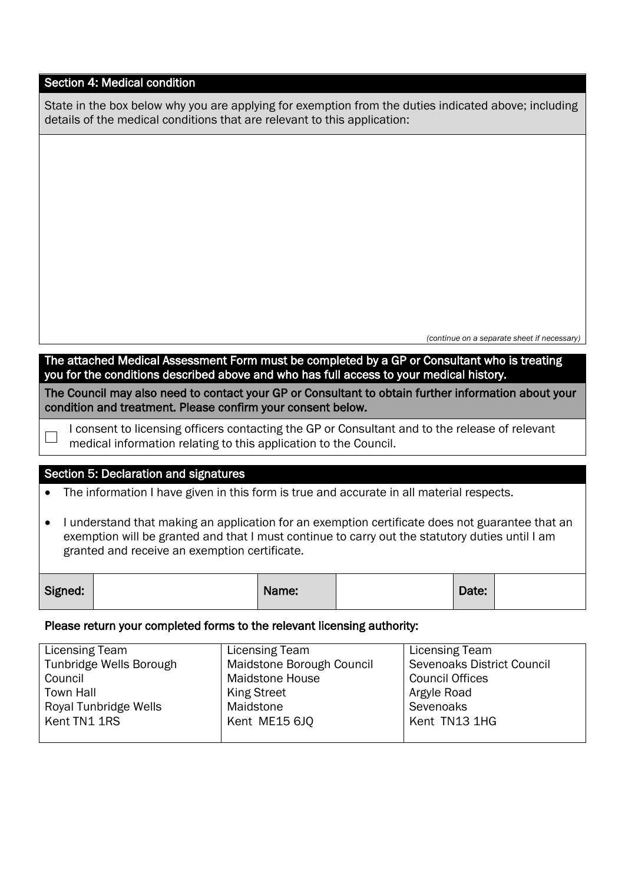## Section 4: Medical condition

| State in the box below why you are applying for exemption from the duties indicated above; including |
|------------------------------------------------------------------------------------------------------|
| details of the medical conditions that are relevant to this application:                             |

 *(continue on a separate sheet if necessary)* 

The attached Medical Assessment Form must be completed by a GP or Consultant who is treating you for the conditions described above and who has full access to your medical history*.* 

The Council may also need to contact your GP or Consultant to obtain further information about your condition and treatment. Please confirm your consent below.

I consent to licensing officers contacting the GP or Consultant and to the release of relevant medical information relating to this application to the Council.

### Section 5: Declaration and signatures

 $\Box$ 

The information I have given in this form is true and accurate in all material respects.

 I understand that making an application for an exemption certificate does not guarantee that an exemption will be granted and that I must continue to carry out the statutory duties until I am granted and receive an exemption certificate.

| Signed: |  | Name: |  | Date: |  |
|---------|--|-------|--|-------|--|
|---------|--|-------|--|-------|--|

### Please return your completed forms to the relevant licensing authority:

| Licensing Team          | Licensing Team            | Licensing Team             |
|-------------------------|---------------------------|----------------------------|
| Tunbridge Wells Borough | Maidstone Borough Council | Sevenoaks District Council |
| Council                 | <b>Maidstone House</b>    | <b>Council Offices</b>     |
| <b>Town Hall</b>        | <b>King Street</b>        | Argyle Road                |
| Royal Tunbridge Wells   | Maidstone                 | Sevenoaks                  |
| Kent TN1 1RS            | Kent ME15 6JQ             | Kent TN13 1HG              |
|                         |                           |                            |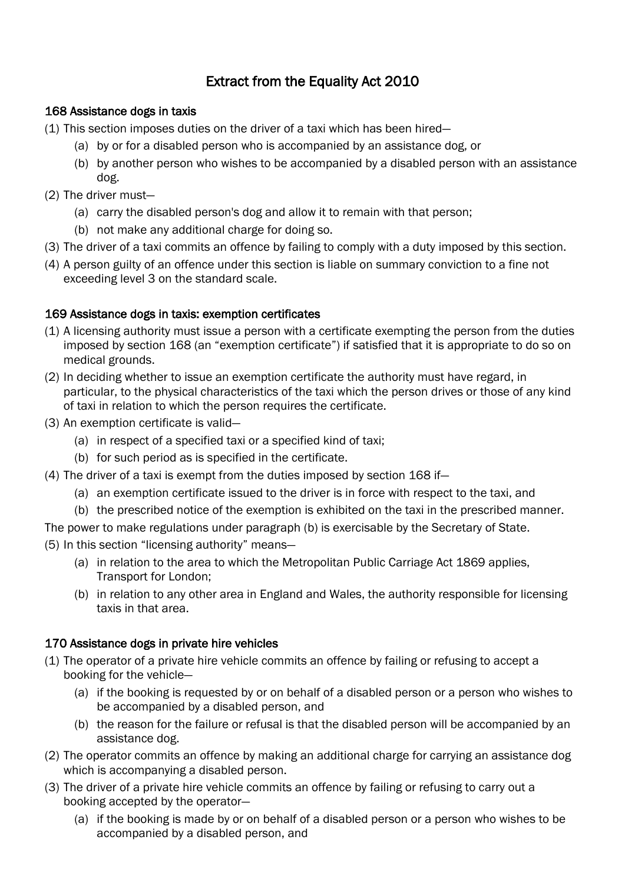# Extract from the Equality Act 2010

## 168 Assistance dogs in taxis

- (1) This section imposes duties on the driver of a taxi which has been hired—
	- (a) by or for a disabled person who is accompanied by an assistance dog, or
	- (b) by another person who wishes to be accompanied by a disabled person with an assistance dog.
- (2) The driver must—
	- (a) carry the disabled person's dog and allow it to remain with that person;
	- (b) not make any additional charge for doing so.
- (3) The driver of a taxi commits an offence by failing to comply with a duty imposed by this section.
- (4) A person guilty of an offence under this section is liable on summary conviction to a fine not exceeding level 3 on the standard scale.

## 169 Assistance dogs in taxis: exemption certificates

- (1) A licensing authority must issue a person with a certificate exempting the person from the duties imposed by section 168 (an "exemption certificate") if satisfied that it is appropriate to do so on medical grounds.
- (2) In deciding whether to issue an exemption certificate the authority must have regard, in particular, to the physical characteristics of the taxi which the person drives or those of any kind of taxi in relation to which the person requires the certificate.
- (3) An exemption certificate is valid—
	- (a) in respect of a specified taxi or a specified kind of taxi;
	- (b) for such period as is specified in the certificate.
- (4) The driver of a taxi is exempt from the duties imposed by section 168 if—
	- (a) an exemption certificate issued to the driver is in force with respect to the taxi, and
	- (b) the prescribed notice of the exemption is exhibited on the taxi in the prescribed manner.
- The power to make regulations under paragraph (b) is exercisable by the Secretary of State.

(5) In this section "licensing authority" means—

- (a) in relation to the area to which the Metropolitan Public Carriage Act 1869 applies, Transport for London;
- (b) in relation to any other area in England and Wales, the authority responsible for licensing taxis in that area.

## 170 Assistance dogs in private hire vehicles

- (1) The operator of a private hire vehicle commits an offence by failing or refusing to accept a booking for the vehicle—
	- (a) if the booking is requested by or on behalf of a disabled person or a person who wishes to be accompanied by a disabled person, and
	- (b) the reason for the failure or refusal is that the disabled person will be accompanied by an assistance dog.
- (2) The operator commits an offence by making an additional charge for carrying an assistance dog which is accompanying a disabled person.
- (3) The driver of a private hire vehicle commits an offence by failing or refusing to carry out a booking accepted by the operator—
	- (a) if the booking is made by or on behalf of a disabled person or a person who wishes to be accompanied by a disabled person, and